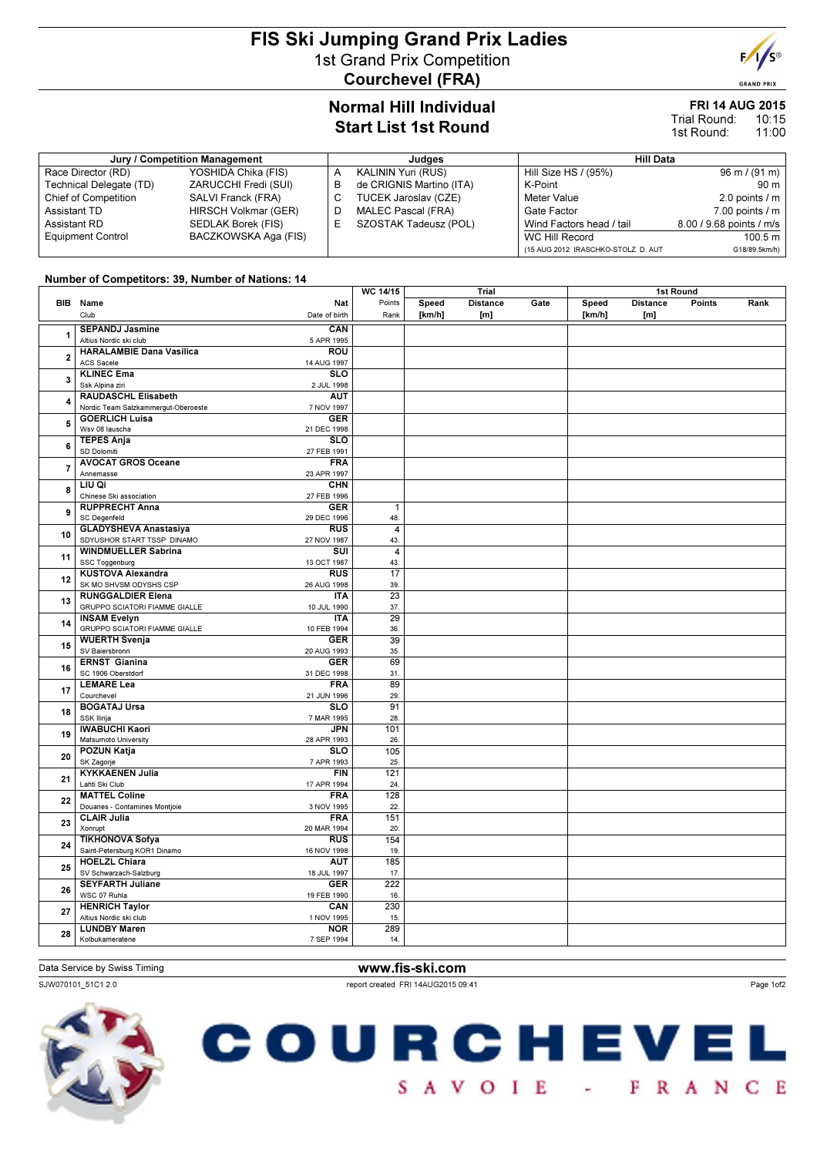# FIS Ski Jumping Grand Prix Ladies 1st Grand Prix Competition Courchevel (FRA)



#### FRI 14 AUG 2015 10:15 Trial Round:

11:00 1st Round:

| Jury / Competition Management |                      |   | Judaes                   | Hill Data                          |                                 |  |  |
|-------------------------------|----------------------|---|--------------------------|------------------------------------|---------------------------------|--|--|
| Race Director (RD)            | YOSHIDA Chika (FIS)  | A | KALININ Yuri (RUS)       | Hill Size HS / (95%)               | $96 \text{ m} / (91 \text{ m})$ |  |  |
| Technical Delegate (TD)       | ZARUCCHI Fredi (SUI) | в | de CRIGNIS Martino (ITA) | K-Point                            | 90 m                            |  |  |
| <b>Chief of Competition</b>   | SALVI Franck (FRA)   |   | TUCEK Jaroslav (CZE)     | Meter Value                        | 2.0 points $\sqrt{m}$           |  |  |
| Assistant TD                  | HIRSCH Volkmar (GER) |   | MALEC Pascal (FRA)       | Gate Factor                        | $7.00$ points $/ m$             |  |  |
| Assistant RD                  | SEDLAK Borek (FIS)   |   | SZOSTAK Tadeusz (POL)    | Wind Factors head / tail           | 8.00 / 9.68 points / m/s        |  |  |
| <b>Equipment Control</b>      | BACZKOWSKA Aga (FIS) |   |                          | WC Hill Record                     | 100.5 m                         |  |  |
|                               |                      |   |                          | (15 AUG 2012 IRASCHKO-STOLZ D. AUT | G18/89.5km/h)                   |  |  |

#### Number of Competitors: 39, Number of Nations: 14

|                         |                                                             |                                        | WC 14/15               | Trial           |                        | 1st Round |                 |                        |        |      |
|-------------------------|-------------------------------------------------------------|----------------------------------------|------------------------|-----------------|------------------------|-----------|-----------------|------------------------|--------|------|
|                         | <b>BIB</b> Name<br>Club                                     | <b>Nat</b><br>Date of birth            | Points<br>Rank         | Speed<br>[km/h] | <b>Distance</b><br>[m] | Gate      | Speed<br>[km/h] | <b>Distance</b><br>[m] | Points | Rank |
| 1                       | <b>SEPANDJ Jasmine</b><br>Altius Nordic ski club            | CAN<br>5 APR 1995                      |                        |                 |                        |           |                 |                        |        |      |
| $\overline{\mathbf{2}}$ | <b>HARALAMBIE Dana Vasilica</b><br>ACS Sacele               | <b>ROU</b><br>14 AUG 1997              |                        |                 |                        |           |                 |                        |        |      |
| 3                       | <b>KLINEC Ema</b><br>Ssk Alpina ziri                        | <b>SLO</b><br>2 JUL 1998               |                        |                 |                        |           |                 |                        |        |      |
| 4                       | RAUDASCHL Elisabeth<br>Nordic Team Salzkammergut-Oberoeste  | <b>AUT</b><br>7 NOV 1997               |                        |                 |                        |           |                 |                        |        |      |
| 5                       | <b>GOERLICH Luisa</b><br>Wsv 08 lauscha                     | <b>GER</b><br>21 DEC 1998              |                        |                 |                        |           |                 |                        |        |      |
| 6                       | <b>TEPES Anja</b><br>SD Dolomiti                            | $\overline{\text{SLO}}$<br>27 FEB 1991 |                        |                 |                        |           |                 |                        |        |      |
| $\overline{7}$          | <b>AVOCAT GROS Oceane</b><br>Annemasse                      | <b>FRA</b><br>23 APR 1997              |                        |                 |                        |           |                 |                        |        |      |
| 8                       | LIU Qi<br>Chinese Ski association                           | <b>CHN</b><br>27 FEB 1996              |                        |                 |                        |           |                 |                        |        |      |
| 9                       | <b>RUPPRECHT Anna</b><br><b>SC Degenfeld</b>                | <b>GER</b><br>29 DEC 1996              | $\mathbf{1}$<br>48.    |                 |                        |           |                 |                        |        |      |
| 10                      | <b>GLADYSHEVA Anastasiya</b><br>SDYUSHOR START TSSP DINAMO  | <b>RUS</b><br>27 NOV 1987              | $\overline{4}$<br>43.  |                 |                        |           |                 |                        |        |      |
| 11                      | <b>WINDMUELLER Sabrina</b><br>SSC Toggenburg                | $\overline{\text{su}}$<br>13 OCT 1987  | $\overline{4}$<br>43.  |                 |                        |           |                 |                        |        |      |
| 12                      | <b>KUSTOVA Alexandra</b><br>SK MO SHVSM ODYSHS CSP          | <b>RUS</b><br>26 AUG 1998              | $\overline{17}$<br>39. |                 |                        |           |                 |                        |        |      |
| 13                      | <b>RUNGGALDIER Elena</b><br>GRUPPO SCIATORI FIAMME GIALLE   | <b>ITA</b><br>10 JUL 1990              | $\overline{23}$<br>37. |                 |                        |           |                 |                        |        |      |
| 14                      | <b>INSAM Evelyn</b><br><b>GRUPPO SCIATORI FIAMME GIALLE</b> | <b>ITA</b><br>10 FEB 1994              | $\overline{29}$<br>36. |                 |                        |           |                 |                        |        |      |
| 15                      | <b>WUERTH Svenja</b><br>SV Baiersbronn                      | <b>GER</b><br>20 AUG 1993              | 39<br>35.              |                 |                        |           |                 |                        |        |      |
| 16                      | <b>ERNST Gianina</b><br>SC 1906 Oberstdorf                  | <b>GER</b><br>31 DEC 1998              | 69<br>31.              |                 |                        |           |                 |                        |        |      |
| 17                      | <b>LEMARE Lea</b><br>Courchevel                             | <b>FRA</b><br>21 JUN 1996              | 89<br>29.              |                 |                        |           |                 |                        |        |      |
| 18                      | <b>BOGATAJ Ursa</b><br>SSK Ilirija                          | <b>SLO</b><br>7 MAR 1995               | 91<br>28.              |                 |                        |           |                 |                        |        |      |
| 19                      | <b>IWABUCHI Kaori</b><br>Matsumoto University               | <b>JPN</b><br>28 APR 1993              | 101<br>26.             |                 |                        |           |                 |                        |        |      |
| 20                      | POZUN Katja<br>SK Zagorje                                   | <b>SLO</b><br>7 APR 1993               | 105<br>25.             |                 |                        |           |                 |                        |        |      |
| 21                      | <b>KYKKAENEN Julia</b><br>Lahti Ski Club                    | <b>FIN</b><br>17 APR 1994              | 121<br>24.             |                 |                        |           |                 |                        |        |      |
| 22                      | <b>MATTEL Coline</b><br>Douanes - Contamines Montjoie       | <b>FRA</b><br>3 NOV 1995               | 128<br>22.             |                 |                        |           |                 |                        |        |      |
| 23                      | <b>CLAIR Julia</b>                                          | <b>FRA</b>                             | 151                    |                 |                        |           |                 |                        |        |      |
| 24                      | Xonrupt<br><b>TIKHONOVA Sofya</b>                           | 20 MAR 1994<br>RUS                     | 20.<br>154             |                 |                        |           |                 |                        |        |      |
| 25                      | Saint-Petersburg KOR1 Dinamo<br><b>HOELZL Chiara</b>        | 16 NOV 1998<br><b>AUT</b>              | 19.<br>185             |                 |                        |           |                 |                        |        |      |
| 26                      | SV Schwarzach-Salzburg<br><b>SEYFARTH Juliane</b>           | 18 JUL 1997<br><b>GER</b>              | 17.<br>222             |                 |                        |           |                 |                        |        |      |
| 27                      | WSC 07 Ruhla<br><b>HENRICH Taylor</b>                       | 19 FEB 1990<br>CAN                     | 16.<br>230             |                 |                        |           |                 |                        |        |      |
| 28                      | Altius Nordic ski club<br><b>LUNDBY Maren</b>               | 1 NOV 1995<br><b>NOR</b>               | 15.<br>289             |                 |                        |           |                 |                        |        |      |
|                         | Kolbukameratene                                             | 7 SEP 1994                             | 14.                    |                 |                        |           |                 |                        |        |      |

### Data Service by Swiss Timing **www.fis-ski.com**

SJW070101\_51C1 2.0 report created FRI 14AUG2015 09:41







**GRAND PRIX**